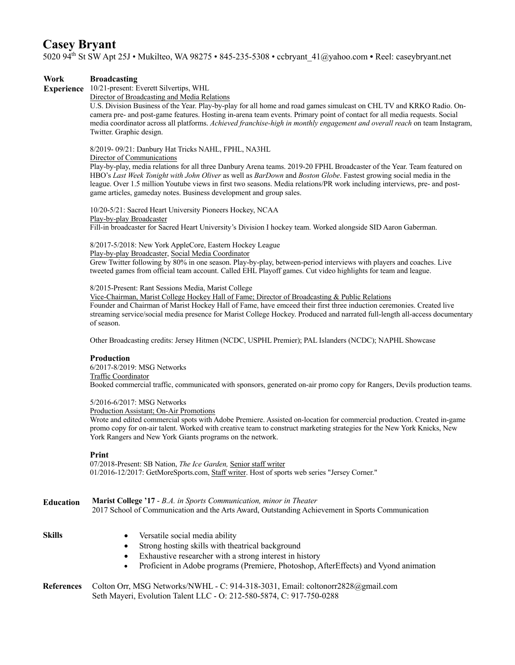# **Casey Bryant**

5020 94th St SW Apt 25J • Mukilteo, WA 98275 • 845-235-5308 • ccbryant\_41@yahoo.com **•** Reel: caseybryant.net

#### **Work Broadcasting**

**Experience** 10/21-present: Everett Silvertips, WHL

Director of Broadcasting and Media Relations

U.S. Division Business of the Year. Play-by-play for all home and road games simulcast on CHL TV and KRKO Radio. Oncamera pre- and post-game features. Hosting in-arena team events. Primary point of contact for all media requests. Social media coordinator across all platforms. *Achieved franchise-high in monthly engagement and overall reach* on team Instagram, Twitter. Graphic design.

8/2019- 09/21: Danbury Hat Tricks NAHL, FPHL, NA3HL

Director of Communications

Play-by-play, media relations for all three Danbury Arena teams. 2019-20 FPHL Broadcaster of the Year. Team featured on HBO's *Last Week Tonight with John Oliver* as well as *BarDown* and *Boston Globe*. Fastest growing social media in the league. Over 1.5 million Youtube views in first two seasons. Media relations/PR work including interviews, pre- and postgame articles, gameday notes. Business development and group sales.

10/20-5/21: Sacred Heart University Pioneers Hockey, NCAA Play-by-play Broadcaster Fill-in broadcaster for Sacred Heart University's Division I hockey team. Worked alongside SID Aaron Gaberman.

8/2017-5/2018: New York AppleCore, Eastern Hockey League

Play-by-play Broadcaster, Social Media Coordinator

Grew Twitter following by 80% in one season. Play-by-play, between-period interviews with players and coaches. Live tweeted games from official team account. Called EHL Playoff games. Cut video highlights for team and league.

8/2015-Present: Rant Sessions Media, Marist College

Vice-Chairman, Marist College Hockey Hall of Fame; Director of Broadcasting & Public Relations Founder and Chairman of Marist Hockey Hall of Fame, have emceed their first three induction ceremonies. Created live streaming service/social media presence for Marist College Hockey. Produced and narrated full-length all-access documentary of season.

Other Broadcasting credits: Jersey Hitmen (NCDC, USPHL Premier); PAL Islanders (NCDC); NAPHL Showcase

### **Production**

6/2017-8/2019: MSG Networks Traffic Coordinator Booked commercial traffic, communicated with sponsors, generated on-air promo copy for Rangers, Devils production teams.

### 5/2016-6/2017: MSG Networks

Production Assistant; On-Air Promotions

Wrote and edited commercial spots with Adobe Premiere. Assisted on-location for commercial production. Created in-game promo copy for on-air talent. Worked with creative team to construct marketing strategies for the New York Knicks, New York Rangers and New York Giants programs on the network.

### **Print**

07/2018-Present: SB Nation, *The Ice Garden,* Senior staff writer 01/2016-12/2017: GetMoreSports.com, Staff writer. Host of sports web series "Jersey Corner."

| Education | <b>Marist College '17 - B.A. in Sports Communication, minor in Theater</b>                       |
|-----------|--------------------------------------------------------------------------------------------------|
|           | 2017 School of Communication and the Arts Award, Outstanding Achievement in Sports Communication |

- Skills Versatile social media ability
	- Strong hosting skills with theatrical background
	- Exhaustive researcher with a strong interest in history
	- Proficient in Adobe programs (Premiere, Photoshop, AfterEffects) and Vyond animation

**References** Colton Orr, MSG Networks/NWHL - C: 914-318-3031, Email: coltonorr2828@gmail.com Seth Mayeri, Evolution Talent LLC - O: 212-580-5874, C: 917-750-0288